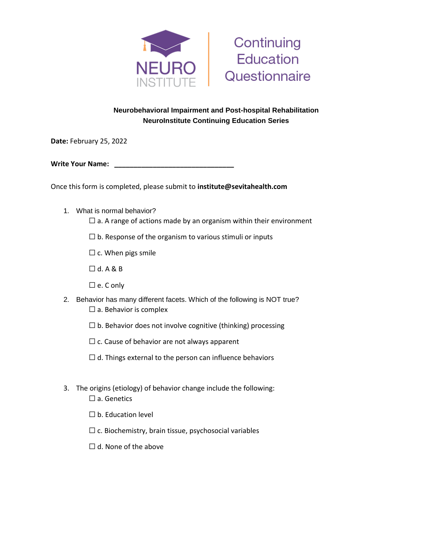



## **Neurobehavioral Impairment and Post-hospital Rehabilitation NeuroInstitute Continuing Education Series**

**Date:** February 25, 2022

**Write Your Name:** 

Once this form is completed, please submit to **institute@sevitahealth.com**

- 1. What is normal behavior?
	- $\Box$  a. A range of actions made by an organism within their environment
	- $\Box$  b. Response of the organism to various stimuli or inputs
	- $\Box$  c. When pigs smile
	- $\Box$  d. A & B
	- ☐ e. C only
- 2. Behavior has many different facets. Which of the following is NOT true?  $\Box$  a. Behavior is complex
	- $\Box$  b. Behavior does not involve cognitive (thinking) processing
	- $\Box$  c. Cause of behavior are not always apparent
	- $\Box$  d. Things external to the person can influence behaviors
- 3. The origins (etiology) of behavior change include the following: □ a. Genetics
	- $\square$  b. Education level
	- $\Box$  c. Biochemistry, brain tissue, psychosocial variables
	- $\Box$  d. None of the above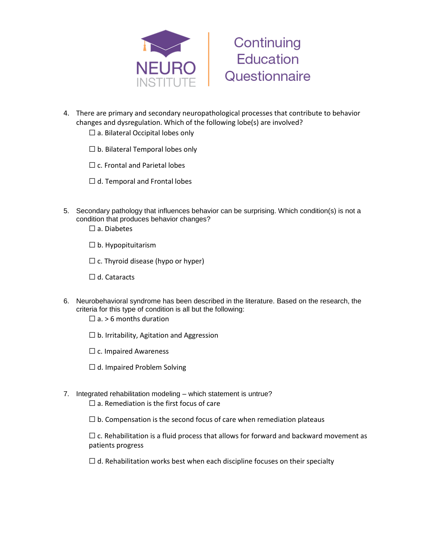



- 4. There are primary and secondary neuropathological processes that contribute to behavior changes and dysregulation. Which of the following lobe(s) are involved?
	- $\Box$  a. Bilateral Occipital lobes only
	- $\Box$  b. Bilateral Temporal lobes only
	- $\Box$  c. Frontal and Parietal lobes
	- $\Box$  d. Temporal and Frontal lobes
- 5. Secondary pathology that influences behavior can be surprising. Which condition(s) is not a condition that produces behavior changes?
	- □ a. Diabetes
	- $\Box$  b. Hypopituitarism
	- $\Box$  c. Thyroid disease (hypo or hyper)
	- ☐ d. Cataracts
- 6. Neurobehavioral syndrome has been described in the literature. Based on the research, the criteria for this type of condition is all but the following:
	- $\Box$  a. > 6 months duration
	- $\Box$  b. Irritability, Agitation and Aggression
	- $\Box$  c. Impaired Awareness
	- $\Box$  d. Impaired Problem Solving
- 7. Integrated rehabilitation modeling which statement is untrue?
	- $\Box$  a. Remediation is the first focus of care
	- $\Box$  b. Compensation is the second focus of care when remediation plateaus

 $\Box$  c. Rehabilitation is a fluid process that allows for forward and backward movement as patients progress

 $\Box$  d. Rehabilitation works best when each discipline focuses on their specialty